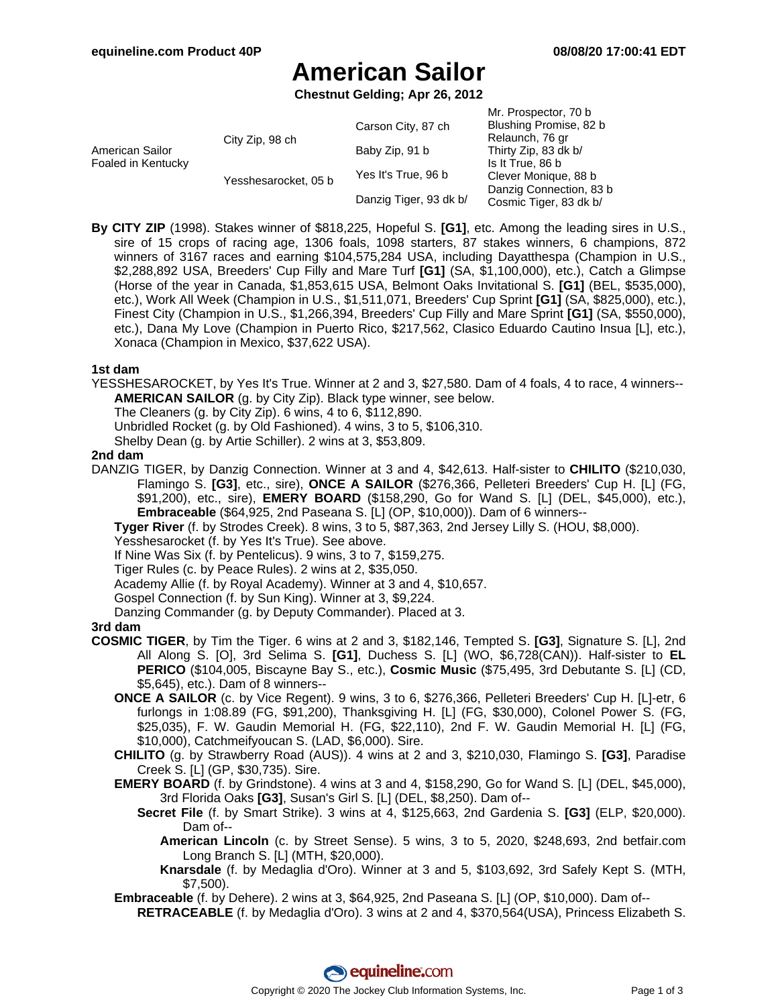# **American Sailor**

**Chestnut Gelding; Apr 26, 2012**

| American Sailor<br>Foaled in Kentucky | City Zip, 98 ch      | Carson City, 87 ch     | Mr. Prospector, 70 b<br>Blushing Promise, 82 b<br>Relaunch, 76 gr |
|---------------------------------------|----------------------|------------------------|-------------------------------------------------------------------|
|                                       |                      | Baby Zip, 91 b         | Thirty Zip, 83 dk b/                                              |
|                                       |                      |                        | Is It True, 86 b                                                  |
|                                       | Yesshesarocket, 05 b | Yes It's True, 96 b    | Clever Monique, 88 b                                              |
|                                       |                      | Danzig Tiger, 93 dk b/ | Danzig Connection, 83 b<br>Cosmic Tiger, 83 dk b/                 |

**By CITY ZIP** (1998). Stakes winner of \$818,225, Hopeful S. **[G1]**, etc. Among the leading sires in U.S., sire of 15 crops of racing age, 1306 foals, 1098 starters, 87 stakes winners, 6 champions, 872 winners of 3167 races and earning \$104,575,284 USA, including Dayatthespa (Champion in U.S., \$2,288,892 USA, Breeders' Cup Filly and Mare Turf **[G1]** (SA, \$1,100,000), etc.), Catch a Glimpse (Horse of the year in Canada, \$1,853,615 USA, Belmont Oaks Invitational S. **[G1]** (BEL, \$535,000), etc.), Work All Week (Champion in U.S., \$1,511,071, Breeders' Cup Sprint **[G1]** (SA, \$825,000), etc.), Finest City (Champion in U.S., \$1,266,394, Breeders' Cup Filly and Mare Sprint **[G1]** (SA, \$550,000), etc.), Dana My Love (Champion in Puerto Rico, \$217,562, Clasico Eduardo Cautino Insua [L], etc.), Xonaca (Champion in Mexico, \$37,622 USA).

### **1st dam**

YESSHESAROCKET, by Yes It's True. Winner at 2 and 3, \$27,580. Dam of 4 foals, 4 to race, 4 winners-- **AMERICAN SAILOR** (g. by City Zip). Black type winner, see below.

The Cleaners (g. by City Zip). 6 wins, 4 to 6, \$112,890.

Unbridled Rocket (g. by Old Fashioned). 4 wins, 3 to 5, \$106,310.

Shelby Dean (g. by Artie Schiller). 2 wins at 3, \$53,809.

#### **2nd dam**

DANZIG TIGER, by Danzig Connection. Winner at 3 and 4, \$42,613. Half-sister to **CHILITO** (\$210,030, Flamingo S. **[G3]**, etc., sire), **ONCE A SAILOR** (\$276,366, Pelleteri Breeders' Cup H. [L] (FG, \$91,200), etc., sire), **EMERY BOARD** (\$158,290, Go for Wand S. [L] (DEL, \$45,000), etc.), **Embraceable** (\$64,925, 2nd Paseana S. [L] (OP, \$10,000)). Dam of 6 winners--

**Tyger River** (f. by Strodes Creek). 8 wins, 3 to 5, \$87,363, 2nd Jersey Lilly S. (HOU, \$8,000).

Yesshesarocket (f. by Yes It's True). See above.

If Nine Was Six (f. by Pentelicus). 9 wins, 3 to 7, \$159,275.

Tiger Rules (c. by Peace Rules). 2 wins at 2, \$35,050.

Academy Allie (f. by Royal Academy). Winner at 3 and 4, \$10,657.

Gospel Connection (f. by Sun King). Winner at 3, \$9,224.

Danzing Commander (g. by Deputy Commander). Placed at 3.

### **3rd dam**

- **COSMIC TIGER**, by Tim the Tiger. 6 wins at 2 and 3, \$182,146, Tempted S. **[G3]**, Signature S. [L], 2nd All Along S. [O], 3rd Selima S. **[G1]**, Duchess S. [L] (WO, \$6,728(CAN)). Half-sister to **EL PERICO** (\$104,005, Biscayne Bay S., etc.), **Cosmic Music** (\$75,495, 3rd Debutante S. [L] (CD, \$5,645), etc.). Dam of 8 winners--
	- **ONCE A SAILOR** (c. by Vice Regent). 9 wins, 3 to 6, \$276,366, Pelleteri Breeders' Cup H. [L]-etr, 6 furlongs in 1:08.89 (FG, \$91,200), Thanksgiving H. [L] (FG, \$30,000), Colonel Power S. (FG, \$25,035), F. W. Gaudin Memorial H. (FG, \$22,110), 2nd F. W. Gaudin Memorial H. [L] (FG, \$10,000), Catchmeifyoucan S. (LAD, \$6,000). Sire.

**CHILITO** (g. by Strawberry Road (AUS)). 4 wins at 2 and 3, \$210,030, Flamingo S. **[G3]**, Paradise Creek S. [L] (GP, \$30,735). Sire.

**EMERY BOARD** (f. by Grindstone). 4 wins at 3 and 4, \$158,290, Go for Wand S. [L] (DEL, \$45,000), 3rd Florida Oaks **[G3]**, Susan's Girl S. [L] (DEL, \$8,250). Dam of--

- **Secret File** (f. by Smart Strike). 3 wins at 4, \$125,663, 2nd Gardenia S. **[G3]** (ELP, \$20,000). Dam of--
	- **American Lincoln** (c. by Street Sense). 5 wins, 3 to 5, 2020, \$248,693, 2nd betfair.com Long Branch S. [L] (MTH, \$20,000).

**Knarsdale** (f. by Medaglia d'Oro). Winner at 3 and 5, \$103,692, 3rd Safely Kept S. (MTH, \$7,500).

**Embraceable** (f. by Dehere). 2 wins at 3, \$64,925, 2nd Paseana S. [L] (OP, \$10,000). Dam of--

**RETRACEABLE** (f. by Medaglia d'Oro). 3 wins at 2 and 4, \$370,564(USA), Princess Elizabeth S.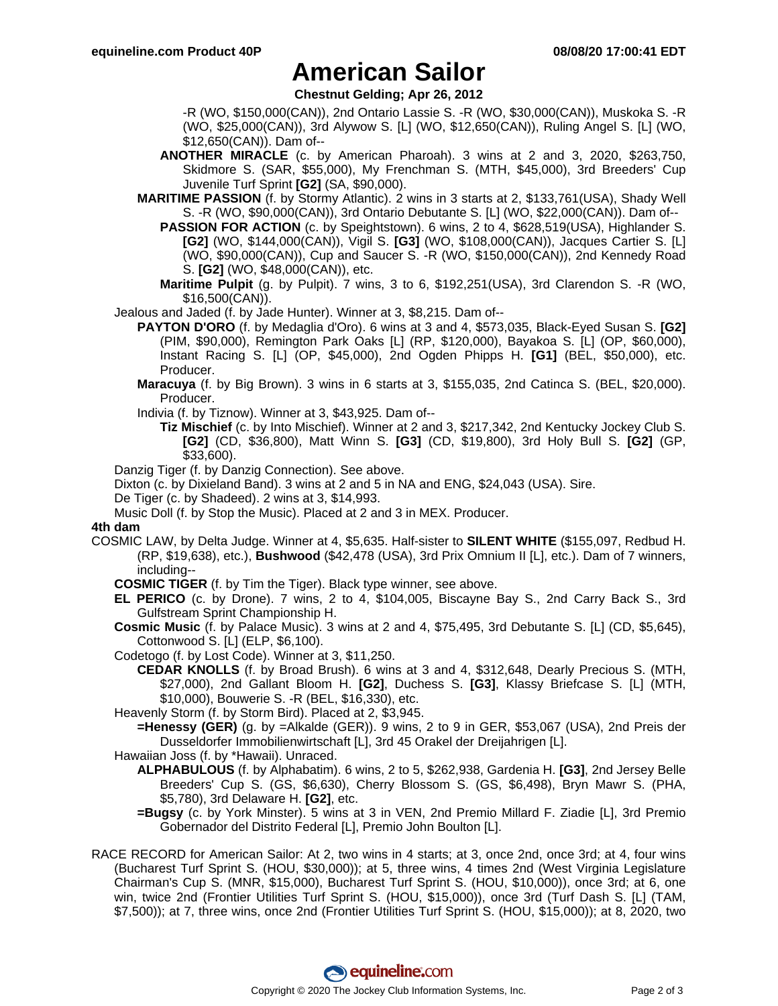### **American Sailor**

**Chestnut Gelding; Apr 26, 2012**

-R (WO, \$150,000(CAN)), 2nd Ontario Lassie S. -R (WO, \$30,000(CAN)), Muskoka S. -R (WO, \$25,000(CAN)), 3rd Alywow S. [L] (WO, \$12,650(CAN)), Ruling Angel S. [L] (WO, \$12,650(CAN)). Dam of--

- **ANOTHER MIRACLE** (c. by American Pharoah). 3 wins at 2 and 3, 2020, \$263,750, Skidmore S. (SAR, \$55,000), My Frenchman S. (MTH, \$45,000), 3rd Breeders' Cup Juvenile Turf Sprint **[G2]** (SA, \$90,000).
- **MARITIME PASSION** (f. by Stormy Atlantic). 2 wins in 3 starts at 2, \$133,761(USA), Shady Well S. -R (WO, \$90,000(CAN)), 3rd Ontario Debutante S. [L] (WO, \$22,000(CAN)). Dam of--
	- **PASSION FOR ACTION** (c. by Speightstown). 6 wins, 2 to 4, \$628,519(USA), Highlander S. **[G2]** (WO, \$144,000(CAN)), Vigil S. **[G3]** (WO, \$108,000(CAN)), Jacques Cartier S. [L] (WO, \$90,000(CAN)), Cup and Saucer S. -R (WO, \$150,000(CAN)), 2nd Kennedy Road S. **[G2]** (WO, \$48,000(CAN)), etc.
	- **Maritime Pulpit** (g. by Pulpit). 7 wins, 3 to 6, \$192,251(USA), 3rd Clarendon S. -R (WO, \$16,500(CAN)).
- Jealous and Jaded (f. by Jade Hunter). Winner at 3, \$8,215. Dam of--
	- **PAYTON D'ORO** (f. by Medaglia d'Oro). 6 wins at 3 and 4, \$573,035, Black-Eyed Susan S. **[G2]** (PIM, \$90,000), Remington Park Oaks [L] (RP, \$120,000), Bayakoa S. [L] (OP, \$60,000), Instant Racing S. [L] (OP, \$45,000), 2nd Ogden Phipps H. **[G1]** (BEL, \$50,000), etc. Producer.
	- **Maracuya** (f. by Big Brown). 3 wins in 6 starts at 3, \$155,035, 2nd Catinca S. (BEL, \$20,000). Producer.
	- Indivia (f. by Tiznow). Winner at 3, \$43,925. Dam of--
		- **Tiz Mischief** (c. by Into Mischief). Winner at 2 and 3, \$217,342, 2nd Kentucky Jockey Club S. **[G2]** (CD, \$36,800), Matt Winn S. **[G3]** (CD, \$19,800), 3rd Holy Bull S. **[G2]** (GP, \$33,600).
- Danzig Tiger (f. by Danzig Connection). See above.
- Dixton (c. by Dixieland Band). 3 wins at 2 and 5 in NA and ENG, \$24,043 (USA). Sire.
- De Tiger (c. by Shadeed). 2 wins at 3, \$14,993.
- Music Doll (f. by Stop the Music). Placed at 2 and 3 in MEX. Producer.

#### **4th dam**

- COSMIC LAW, by Delta Judge. Winner at 4, \$5,635. Half-sister to **SILENT WHITE** (\$155,097, Redbud H. (RP, \$19,638), etc.), **Bushwood** (\$42,478 (USA), 3rd Prix Omnium II [L], etc.). Dam of 7 winners, including--
	- **COSMIC TIGER** (f. by Tim the Tiger). Black type winner, see above.
	- **EL PERICO** (c. by Drone). 7 wins, 2 to 4, \$104,005, Biscayne Bay S., 2nd Carry Back S., 3rd Gulfstream Sprint Championship H.
	- **Cosmic Music** (f. by Palace Music). 3 wins at 2 and 4, \$75,495, 3rd Debutante S. [L] (CD, \$5,645), Cottonwood S. [L] (ELP, \$6,100).
	- Codetogo (f. by Lost Code). Winner at 3, \$11,250.
		- **CEDAR KNOLLS** (f. by Broad Brush). 6 wins at 3 and 4, \$312,648, Dearly Precious S. (MTH, \$27,000), 2nd Gallant Bloom H. **[G2]**, Duchess S. **[G3]**, Klassy Briefcase S. [L] (MTH, \$10,000), Bouwerie S. -R (BEL, \$16,330), etc.
	- Heavenly Storm (f. by Storm Bird). Placed at 2, \$3,945.
	- **=Henessy (GER)** (g. by =Alkalde (GER)). 9 wins, 2 to 9 in GER, \$53,067 (USA), 2nd Preis der Dusseldorfer Immobilienwirtschaft [L], 3rd 45 Orakel der Dreijahrigen [L].
	- Hawaiian Joss (f. by \*Hawaii). Unraced.
		- **ALPHABULOUS** (f. by Alphabatim). 6 wins, 2 to 5, \$262,938, Gardenia H. **[G3]**, 2nd Jersey Belle Breeders' Cup S. (GS, \$6,630), Cherry Blossom S. (GS, \$6,498), Bryn Mawr S. (PHA, \$5,780), 3rd Delaware H. **[G2]**, etc.
			- **=Bugsy** (c. by York Minster). 5 wins at 3 in VEN, 2nd Premio Millard F. Ziadie [L], 3rd Premio Gobernador del Distrito Federal [L], Premio John Boulton [L].
- RACE RECORD for American Sailor: At 2, two wins in 4 starts; at 3, once 2nd, once 3rd; at 4, four wins (Bucharest Turf Sprint S. (HOU, \$30,000)); at 5, three wins, 4 times 2nd (West Virginia Legislature Chairman's Cup S. (MNR, \$15,000), Bucharest Turf Sprint S. (HOU, \$10,000)), once 3rd; at 6, one win, twice 2nd (Frontier Utilities Turf Sprint S. (HOU, \$15,000)), once 3rd (Turf Dash S. [L] (TAM, \$7,500)); at 7, three wins, once 2nd (Frontier Utilities Turf Sprint S. (HOU, \$15,000)); at 8, 2020, two